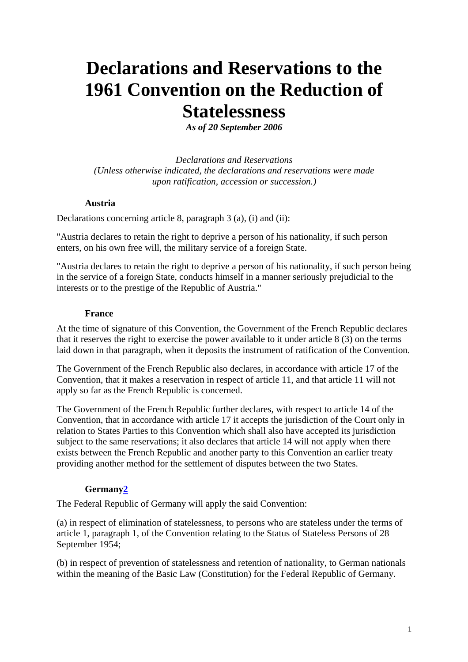# **Declarations and Reservations to the 1961 Convention on the Reduction of Statelessness**

*As of 20 September 2006*

*Declarations and Reservations (Unless otherwise indicated, the declarations and reservations were made upon ratification, accession or succession.)* 

## **Austria**

Declarations concerning article 8, paragraph 3 (a), (i) and (ii):

"Austria declares to retain the right to deprive a person of his nationality, if such person enters, on his own free will, the military service of a foreign State.

"Austria declares to retain the right to deprive a person of his nationality, if such person being in the service of a foreign State, conducts himself in a manner seriously prejudicial to the interests or to the prestige of the Republic of Austria."

## **France**

At the time of signature of this Convention, the Government of the French Republic declares that it reserves the right to exercise the power available to it under article 8 (3) on the terms laid down in that paragraph, when it deposits the instrument of ratification of the Convention.

The Government of the French Republic also declares, in accordance with article 17 of the Convention, that it makes a reservation in respect of article 11, and that article 11 will not apply so far as the French Republic is concerned.

The Government of the French Republic further declares, with respect to article 14 of the Convention, that in accordance with article 17 it accepts the jurisdiction of the Court only in relation to States Parties to this Convention which shall also have accepted its jurisdiction subject to the same reservations; it also declares that article 14 will not apply when there exists between the French Republic and another party to this Convention an earlier treaty providing another method for the settlement of disputes between the two States.

# **Germany2**

The Federal Republic of Germany will apply the said Convention:

(a) in respect of elimination of statelessness, to persons who are stateless under the terms of article 1, paragraph 1, of the Convention relating to the Status of Stateless Persons of 28 September 1954;

(b) in respect of prevention of statelessness and retention of nationality, to German nationals within the meaning of the Basic Law (Constitution) for the Federal Republic of Germany.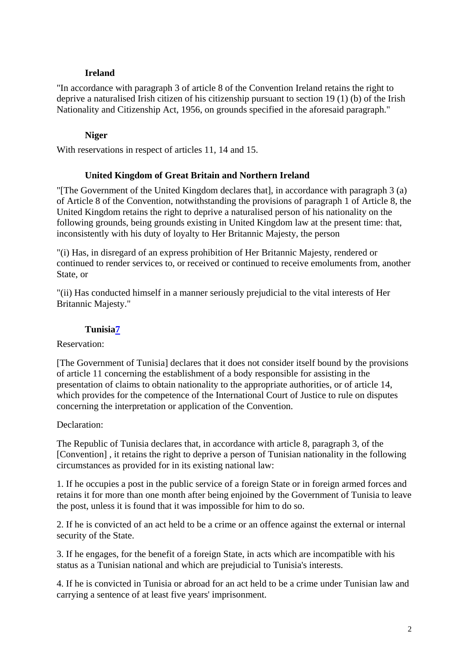## **Ireland**

"In accordance with paragraph 3 of article 8 of the Convention Ireland retains the right to deprive a naturalised Irish citizen of his citizenship pursuant to section 19 (1) (b) of the Irish Nationality and Citizenship Act, 1956, on grounds specified in the aforesaid paragraph."

## **Niger**

With reservations in respect of articles 11, 14 and 15.

## **United Kingdom of Great Britain and Northern Ireland**

"[The Government of the United Kingdom declares that], in accordance with paragraph 3 (a) of Article 8 of the Convention, notwithstanding the provisions of paragraph 1 of Article 8, the United Kingdom retains the right to deprive a naturalised person of his nationality on the following grounds, being grounds existing in United Kingdom law at the present time: that, inconsistently with his duty of loyalty to Her Britannic Majesty, the person

"(i) Has, in disregard of an express prohibition of Her Britannic Majesty, rendered or continued to render services to, or received or continued to receive emoluments from, another State, or

"(ii) Has conducted himself in a manner seriously prejudicial to the vital interests of Her Britannic Majesty."

# **Tunisia7**

## Reservation:

[The Government of Tunisia] declares that it does not consider itself bound by the provisions of article 11 concerning the establishment of a body responsible for assisting in the presentation of claims to obtain nationality to the appropriate authorities, or of article 14, which provides for the competence of the International Court of Justice to rule on disputes concerning the interpretation or application of the Convention.

## Declaration:

The Republic of Tunisia declares that, in accordance with article 8, paragraph 3, of the [Convention] , it retains the right to deprive a person of Tunisian nationality in the following circumstances as provided for in its existing national law:

1. If he occupies a post in the public service of a foreign State or in foreign armed forces and retains it for more than one month after being enjoined by the Government of Tunisia to leave the post, unless it is found that it was impossible for him to do so.

2. If he is convicted of an act held to be a crime or an offence against the external or internal security of the State.

3. If he engages, for the benefit of a foreign State, in acts which are incompatible with his status as a Tunisian national and which are prejudicial to Tunisia's interests.

4. If he is convicted in Tunisia or abroad for an act held to be a crime under Tunisian law and carrying a sentence of at least five years' imprisonment.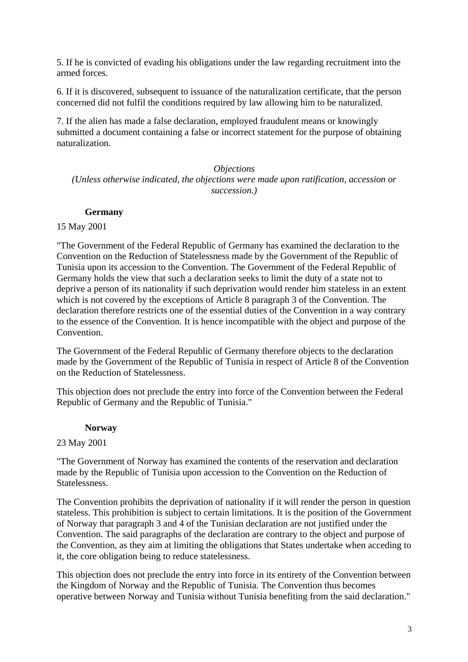5. If he is convicted of evading his obligations under the law regarding recruitment into the armed forces.

6. If it is discovered, subsequent to issuance of the naturalization certificate, that the person concerned did not fulfil the conditions required by law allowing him to be naturalized.

7. If the alien has made a false declaration, employed fraudulent means or knowingly submitted a document containing a false or incorrect statement for the purpose of obtaining naturalization.

#### *Objections*

*(Unless otherwise indicated, the objections were made upon ratification, accession or succession.)* 

## **Germany**

#### 15 May 2001

"The Government of the Federal Republic of Germany has examined the declaration to the Convention on the Reduction of Statelessness made by the Government of the Republic of Tunisia upon its accession to the Convention. The Government of the Federal Republic of Germany holds the view that such a declaration seeks to limit the duty of a state not to deprive a person of its nationality if such deprivation would render him stateless in an extent which is not covered by the exceptions of Article 8 paragraph 3 of the Convention. The declaration therefore restricts one of the essential duties of the Convention in a way contrary to the essence of the Convention. It is hence incompatible with the object and purpose of the Convention.

The Government of the Federal Republic of Germany therefore objects to the declaration made by the Government of the Republic of Tunisia in respect of Article 8 of the Convention on the Reduction of Statelessness.

This objection does not preclude the entry into force of the Convention between the Federal Republic of Germany and the Republic of Tunisia."

#### **Norway**

#### 23 May 2001

"The Government of Norway has examined the contents of the reservation and declaration made by the Republic of Tunisia upon accession to the Convention on the Reduction of Statelessness.

The Convention prohibits the deprivation of nationality if it will render the person in question stateless. This prohibition is subject to certain limitations. It is the position of the Government of Norway that paragraph 3 and 4 of the Tunisian declaration are not justified under the Convention. The said paragraphs of the declaration are contrary to the object and purpose of the Convention, as they aim at limiting the obligations that States undertake when acceding to it, the core obligation being to reduce statelessness.

This objection does not preclude the entry into force in its entirety of the Convention between the Kingdom of Norway and the Republic of Tunisia. The Convention thus becomes operative between Norway and Tunisia without Tunisia benefiting from the said declaration."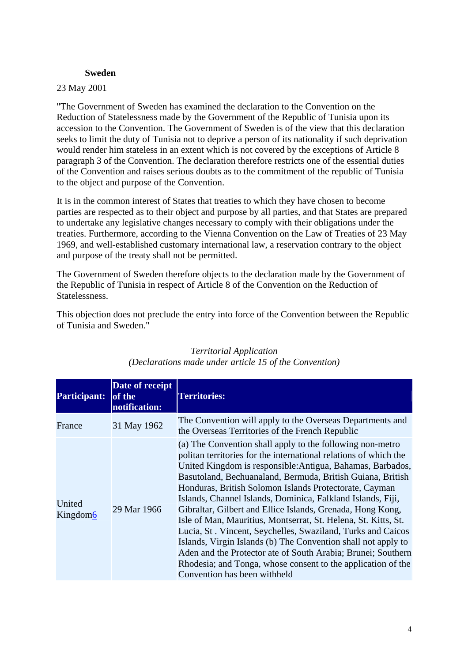## **Sweden**

#### 23 May 2001

"The Government of Sweden has examined the declaration to the Convention on the Reduction of Statelessness made by the Government of the Republic of Tunisia upon its accession to the Convention. The Government of Sweden is of the view that this declaration seeks to limit the duty of Tunisia not to deprive a person of its nationality if such deprivation would render him stateless in an extent which is not covered by the exceptions of Article 8 paragraph 3 of the Convention. The declaration therefore restricts one of the essential duties of the Convention and raises serious doubts as to the commitment of the republic of Tunisia to the object and purpose of the Convention.

It is in the common interest of States that treaties to which they have chosen to become parties are respected as to their object and purpose by all parties, and that States are prepared to undertake any legislative changes necessary to comply with their obligations under the treaties. Furthermore, according to the Vienna Convention on the Law of Treaties of 23 May 1969, and well-established customary international law, a reservation contrary to the object and purpose of the treaty shall not be permitted.

The Government of Sweden therefore objects to the declaration made by the Government of the Republic of Tunisia in respect of Article 8 of the Convention on the Reduction of Statelessness.

This objection does not preclude the entry into force of the Convention between the Republic of Tunisia and Sweden."

| <b>Participant:</b> | Date of receipt<br>of the<br>notification: | <b>Territories:</b>                                                                                                                                                                                                                                                                                                                                                                                                                                                                                                                                                                                                                                                                                                                                                                                                |
|---------------------|--------------------------------------------|--------------------------------------------------------------------------------------------------------------------------------------------------------------------------------------------------------------------------------------------------------------------------------------------------------------------------------------------------------------------------------------------------------------------------------------------------------------------------------------------------------------------------------------------------------------------------------------------------------------------------------------------------------------------------------------------------------------------------------------------------------------------------------------------------------------------|
| France              | 31 May 1962                                | The Convention will apply to the Overseas Departments and<br>the Overseas Territories of the French Republic                                                                                                                                                                                                                                                                                                                                                                                                                                                                                                                                                                                                                                                                                                       |
| United<br>Kingdom6  | 29 Mar 1966                                | (a) The Convention shall apply to the following non-metro<br>politan territories for the international relations of which the<br>United Kingdom is responsible: Antigua, Bahamas, Barbados,<br>Basutoland, Bechuanaland, Bermuda, British Guiana, British<br>Honduras, British Solomon Islands Protectorate, Cayman<br>Islands, Channel Islands, Dominica, Falkland Islands, Fiji,<br>Gibraltar, Gilbert and Ellice Islands, Grenada, Hong Kong,<br>Isle of Man, Mauritius, Montserrat, St. Helena, St. Kitts, St.<br>Lucia, St. Vincent, Seychelles, Swaziland, Turks and Caicos<br>Islands, Virgin Islands (b) The Convention shall not apply to<br>Aden and the Protector ate of South Arabia; Brunei; Southern<br>Rhodesia; and Tonga, whose consent to the application of the<br>Convention has been withheld |

# *Territorial Application (Declarations made under article 15 of the Convention)*